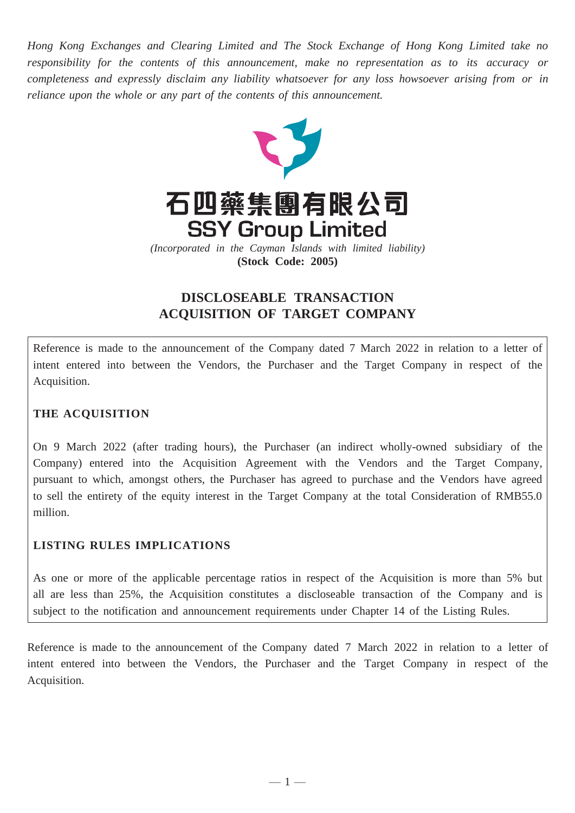*Hong Kong Exchanges and Clearing Limited and The Stock Exchange of Hong Kong Limited take no responsibility for the contents of this announcement, make no representation as to its accuracy or completeness and expressly disclaim any liability whatsoever for any loss howsoever arising from or in reliance upon the whole or any part of the contents of this announcement.*



# **DISCLOSEABLE TRANSACTION ACQUISITION OF TARGET COMPANY**

Reference is made to the announcement of the Company dated 7 March 2022 in relation to a letter of intent entered into between the Vendors, the Purchaser and the Target Company in respect of the Acquisition.

# **THE ACQUISITION**

On 9 March 2022 (after trading hours), the Purchaser (an indirect wholly-owned subsidiary of the Company) entered into the Acquisition Agreement with the Vendors and the Target Company, pursuant to which, amongst others, the Purchaser has agreed to purchase and the Vendors have agreed to sell the entirety of the equity interest in the Target Company at the total Consideration of RMB55.0 million.

# **LISTING RULES IMPLICATIONS**

As one or more of the applicable percentage ratios in respect of the Acquisition is more than 5% but all are less than 25%, the Acquisition constitutes a discloseable transaction of the Company and is subject to the notification and announcement requirements under Chapter 14 of the Listing Rules.

Reference is made to the announcement of the Company dated 7 March 2022 in relation to a letter of intent entered into between the Vendors, the Purchaser and the Target Company in respect of the Acquisition.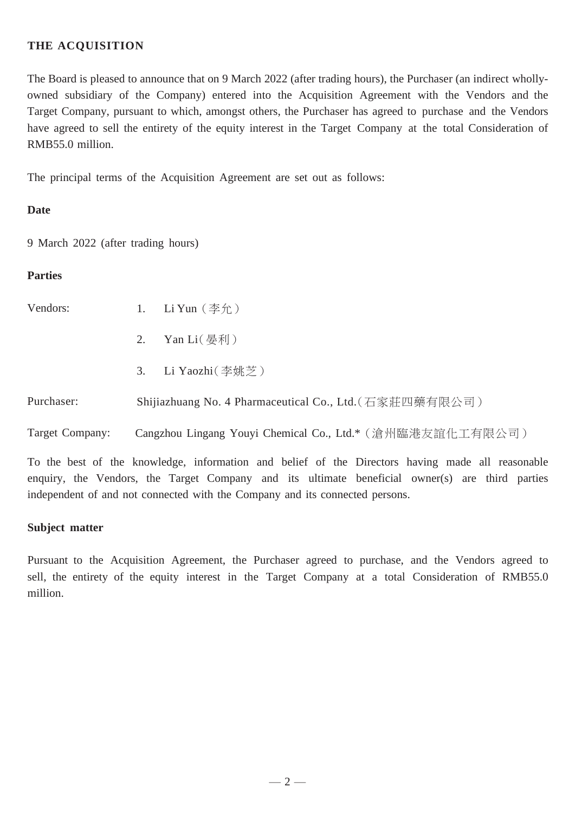### **THE ACQUISITION**

The Board is pleased to announce that on 9 March 2022 (after trading hours), the Purchaser (an indirect whollyowned subsidiary of the Company) entered into the Acquisition Agreement with the Vendors and the Target Company, pursuant to which, amongst others, the Purchaser has agreed to purchase and the Vendors have agreed to sell the entirety of the equity interest in the Target Company at the total Consideration of RMB55.0 million.

The principal terms of the Acquisition Agreement are set out as follows:

### **Date**

9 March 2022 (after trading hours)

#### **Parties**

- Vendors:  $1.$  Li Yun  $(\Phi \hat{\mathcal{F}})$ 
	- 2. Yan Li $(\frac{1}{2})$
	- 3. Li Yaozhi(李姚芝)

Purchaser: Shijiazhuang No. 4 Pharmaceutical Co., Ltd. (石家莊四藥有限公司)

Target Company: Cangzhou Lingang Youyi Chemical Co., Ltd.\*(滄州臨港友誼化工有限公司)

To the best of the knowledge, information and belief of the Directors having made all reasonable enquiry, the Vendors, the Target Company and its ultimate beneficial owner(s) are third parties independent of and not connected with the Company and its connected persons.

#### **Subject matter**

Pursuant to the Acquisition Agreement, the Purchaser agreed to purchase, and the Vendors agreed to sell, the entirety of the equity interest in the Target Company at a total Consideration of RMB55.0 million.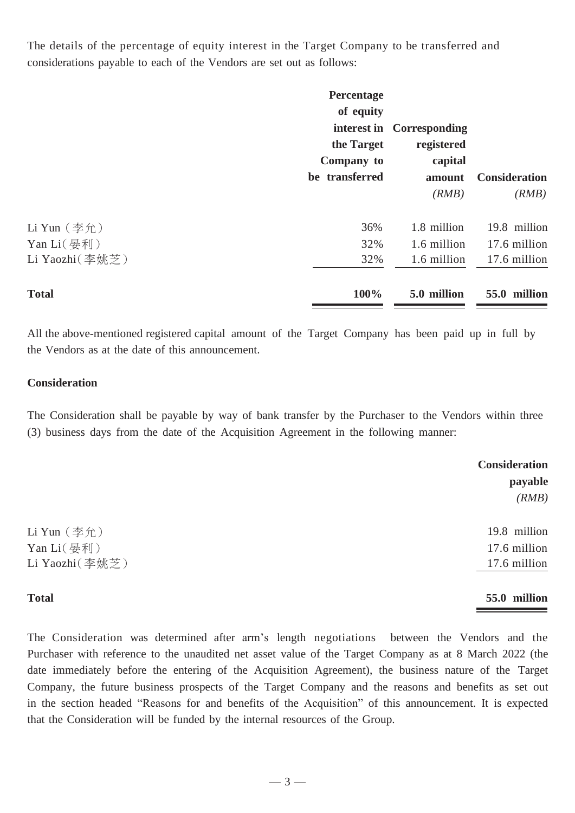The details of the percentage of equity interest in the Target Company to be transferred and considerations payable to each of the Vendors are set out as follows:

|                              | Percentage<br>of equity<br>the Target<br>Company to<br>be transferred | interest in Corresponding<br>registered<br>capital<br>amount<br>(RMB) | <b>Consideration</b><br>(RMB) |
|------------------------------|-----------------------------------------------------------------------|-----------------------------------------------------------------------|-------------------------------|
| Li Yun $($ 李允)               | 36%                                                                   | 1.8 million                                                           | 19.8 million                  |
| Yan Li(晏利)<br>Li Yaozhi(李姚芝) | 32%<br>32%                                                            | 1.6 million<br>1.6 million                                            | 17.6 million<br>17.6 million  |
| <b>Total</b>                 | 100%                                                                  | 5.0 million                                                           | 55.0 million                  |

All the above-mentioned registered capital amount of the Target Company has been paid up in full by the Vendors as at the date of this announcement.

#### **Consideration**

The Consideration shall be payable by way of bank transfer by the Purchaser to the Vendors within three (3) business days from the date of the Acquisition Agreement in the following manner:

|                     | <b>Consideration</b> |
|---------------------|----------------------|
|                     | payable              |
|                     | (RMB)                |
| $Li$ Yun $(\Phi$ 允) | 19.8 million         |
| Yan Li(晏利)          | 17.6 million         |
| Li Yaozhi(李姚芝)      | 17.6 million         |
|                     |                      |

#### **Total 55.0 million**

The Consideration was determined after arm's length negotiations between the Vendors and the Purchaser with reference to the unaudited net asset value of the Target Company as at 8 March 2022 (the date immediately before the entering of the Acquisition Agreement), the business nature of the Target Company, the future business prospects of the Target Company and the reasons and benefits as set out in the section headed "Reasons for and benefits of the Acquisition" of this announcement. It is expected that the Consideration will be funded by the internal resources of the Group.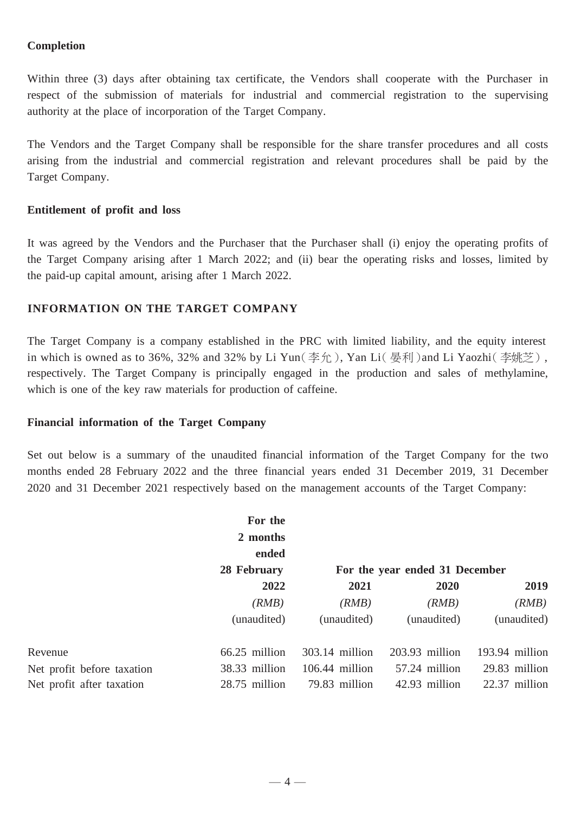### **Completion**

Within three (3) days after obtaining tax certificate, the Vendors shall cooperate with the Purchaser in respect of the submission of materials for industrial and commercial registration to the supervising authority at the place of incorporation of the Target Company.

The Vendors and the Target Company shall be responsible for the share transfer procedures and all costs arising from the industrial and commercial registration and relevant procedures shall be paid by the Target Company.

### **Entitlement of profit and loss**

It was agreed by the Vendors and the Purchaser that the Purchaser shall (i) enjoy the operating profits of the Target Company arising after 1 March 2022; and (ii) bear the operating risks and losses, limited by the paid-up capital amount, arising after 1 March 2022.

### **INFORMATION ON THE TARGET COMPANY**

The Target Company is a company established in the PRC with limited liability, and the equity interest in which is owned as to 36%, 32% and 32% by Li Yun(李允), Yan Li(晏利)and Li Yaozhi(李姚芝), respectively. The Target Company is principally engaged in the production and sales of methylamine, which is one of the key raw materials for production of caffeine.

### **Financial information of the Target Company**

Set out below is a summary of the unaudited financial information of the Target Company for the two months ended 28 February 2022 and the three financial years ended 31 December 2019, 31 December 2020 and 31 December 2021 respectively based on the management accounts of the Target Company:

|                            | For the                          |                                |                |                |
|----------------------------|----------------------------------|--------------------------------|----------------|----------------|
|                            | 2 months<br>ended<br>28 February |                                |                |                |
|                            |                                  |                                |                |                |
|                            |                                  | For the year ended 31 December |                |                |
|                            | 2022                             | 2021                           | 2020           | 2019           |
|                            | (RMB)                            | (RMB)                          | (RMB)          | (RMB)          |
|                            | (unaudited)                      | (unaudited)                    | (unaudited)    | (unaudited)    |
| Revenue                    | $66.25$ million                  | $303.14$ million               | 203.93 million | 193.94 million |
| Net profit before taxation | 38.33 million                    | $106.44$ million               | 57.24 million  | 29.83 million  |
| Net profit after taxation  | 28.75 million                    | 79.83 million                  | 42.93 million  | 22.37 million  |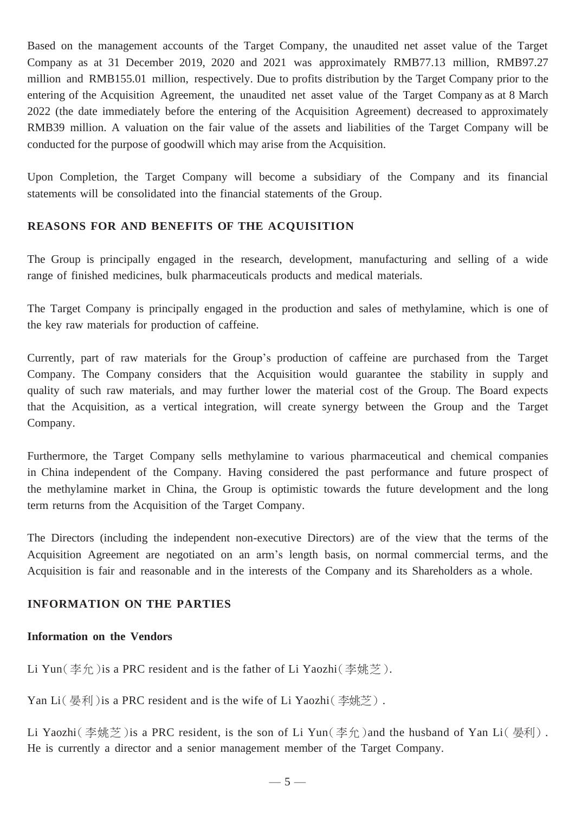Based on the management accounts of the Target Company, the unaudited net asset value of the Target Company as at 31 December 2019, 2020 and 2021 was approximately RMB77.13 million, RMB97.27 million and RMB155.01 million, respectively. Due to profits distribution by the Target Company prior to the entering of the Acquisition Agreement, the unaudited net asset value of the Target Company as at 8 March 2022 (the date immediately before the entering of the Acquisition Agreement) decreased to approximately RMB39 million. A valuation on the fair value of the assets and liabilities of the Target Company will be conducted for the purpose of goodwill which may arise from the Acquisition.

Upon Completion, the Target Company will become a subsidiary of the Company and its financial statements will be consolidated into the financial statements of the Group.

### **REASONS FOR AND BENEFITS OF THE ACQUISITION**

The Group is principally engaged in the research, development, manufacturing and selling of a wide range of finished medicines, bulk pharmaceuticals products and medical materials.

The Target Company is principally engaged in the production and sales of methylamine, which is one of the key raw materials for production of caffeine.

Currently, part of raw materials for the Group's production of caffeine are purchased from the Target Company. The Company considers that the Acquisition would guarantee the stability in supply and quality of such raw materials, and may further lower the material cost of the Group. The Board expects that the Acquisition, as a vertical integration, will create synergy between the Group and the Target Company.

Furthermore, the Target Company sells methylamine to various pharmaceutical and chemical companies in China independent of the Company. Having considered the past performance and future prospect of the methylamine market in China, the Group is optimistic towards the future development and the long term returns from the Acquisition of the Target Company.

The Directors (including the independent non-executive Directors) are of the view that the terms of the Acquisition Agreement are negotiated on an arm's length basis, on normal commercial terms, and the Acquisition is fair and reasonable and in the interests of the Company and its Shareholders as a whole.

# **INFORMATION ON THE PARTIES**

### **Information on the Vendors**

Li Yun(李允)is a PRC resident and is the father of Li Yaozhi(李姚芝).

Yan Li  $($  晏利) is a PRC resident and is the wife of Li Yaozhi $($  李姚芝).

Li Yaozhi(李姚芝)is a PRC resident, is the son of Li Yun(李允)and the husband of Yan Li(晏利). He is currently a director and a senior management member of the Target Company.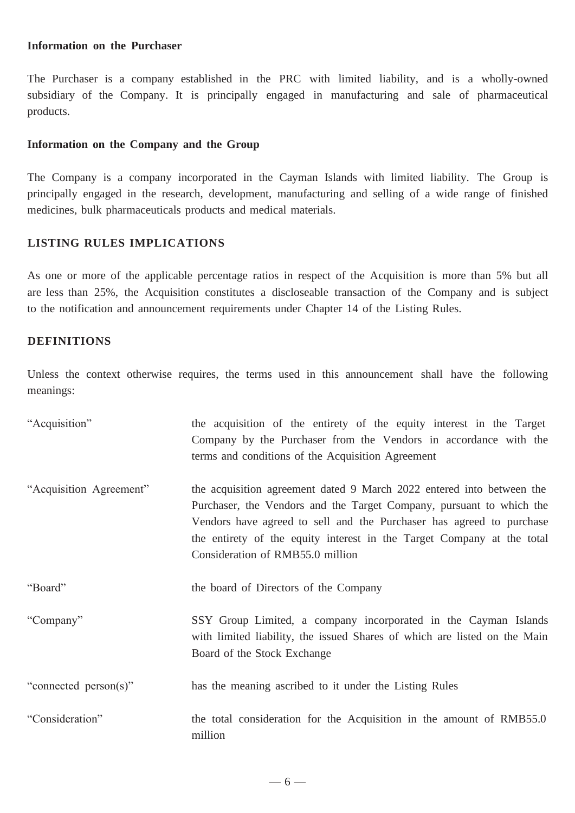#### **Information on the Purchaser**

The Purchaser is a company established in the PRC with limited liability, and is a wholly-owned subsidiary of the Company. It is principally engaged in manufacturing and sale of pharmaceutical products.

#### **Information on the Company and the Group**

The Company is a company incorporated in the Cayman Islands with limited liability. The Group is principally engaged in the research, development, manufacturing and selling of a wide range of finished medicines, bulk pharmaceuticals products and medical materials.

#### **LISTING RULES IMPLICATIONS**

As one or more of the applicable percentage ratios in respect of the Acquisition is more than 5% but all are less than 25%, the Acquisition constitutes a discloseable transaction of the Company and is subject to the notification and announcement requirements under Chapter 14 of the Listing Rules.

#### **DEFINITIONS**

Unless the context otherwise requires, the terms used in this announcement shall have the following meanings:

| "Acquisition"           | the acquisition of the entirety of the equity interest in the Target<br>Company by the Purchaser from the Vendors in accordance with the<br>terms and conditions of the Acquisition Agreement                                                                                                                                       |
|-------------------------|-------------------------------------------------------------------------------------------------------------------------------------------------------------------------------------------------------------------------------------------------------------------------------------------------------------------------------------|
| "Acquisition Agreement" | the acquisition agreement dated 9 March 2022 entered into between the<br>Purchaser, the Vendors and the Target Company, pursuant to which the<br>Vendors have agreed to sell and the Purchaser has agreed to purchase<br>the entirety of the equity interest in the Target Company at the total<br>Consideration of RMB55.0 million |
| "Board"                 | the board of Directors of the Company                                                                                                                                                                                                                                                                                               |
| "Company"               | SSY Group Limited, a company incorporated in the Cayman Islands<br>with limited liability, the issued Shares of which are listed on the Main<br>Board of the Stock Exchange                                                                                                                                                         |
| "connected person(s)"   | has the meaning ascribed to it under the Listing Rules                                                                                                                                                                                                                                                                              |
| "Consideration"         | the total consideration for the Acquisition in the amount of RMB55.0<br>million                                                                                                                                                                                                                                                     |